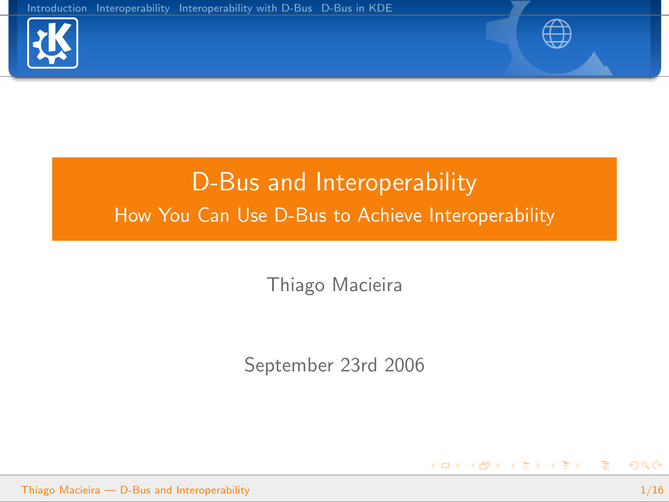



<span id="page-0-0"></span>イロト イ部 トイをトイをトー を

# D-Bus and Interoperability How You Can Use D-Bus to Achieve Interoperability

Thiago Macieira

September 23rd 2006

Thiago Macieira — [D-Bus and Interoperability](#page-15-0) 1/16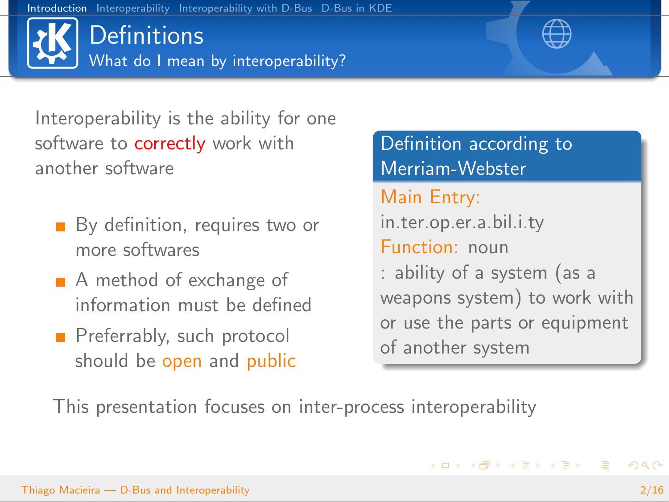**Definitions** What do I mean by interoperability?

Interoperability is the ability for one software to **correctly** work with another software

- By definition, requires two or more softwares
- A method of exchange of information must be defined
- Preferrably, such protocol should be open and public

Definition according to Merriam-Webster Main Entry: in.ter.op.er.a.bil.i.ty Function: noun : ability of a system (as a weapons system) to work with or use the parts or equipment of another system

<span id="page-1-0"></span> $\left\{ \begin{array}{ccc} 1 & 0 & 0 \\ 0 & 1 & 0 \end{array} \right.$ 

This presentation focuses on inter-process interoperability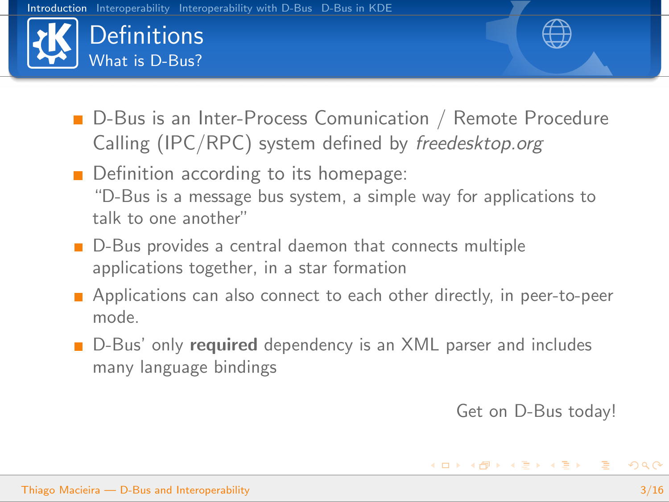



- **Definition according to its homepage:** "D-Bus is a message bus system, a simple way for applications to talk to one another"
- D-Bus provides a central daemon that connects multiple applications together, in a star formation
- **Applications can also connect to each other directly, in peer-to-peer** mode.
- D-Bus' only required dependency is an XML parser and includes many language bindings

Get on D-Bus today!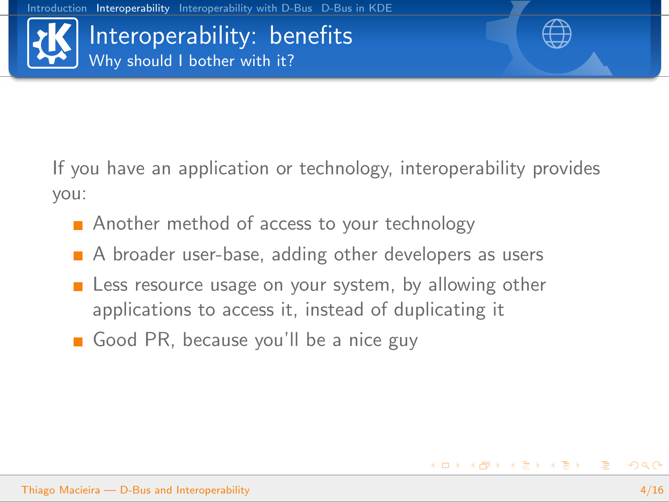

<span id="page-3-0"></span>

If you have an application or technology, interoperability provides you:

- Another method of access to your technology
- A broader user-base, adding other developers as users
- **E** Less resource usage on your system, by allowing other applications to access it, instead of duplicating it
- Good PR, because you'll be a nice guy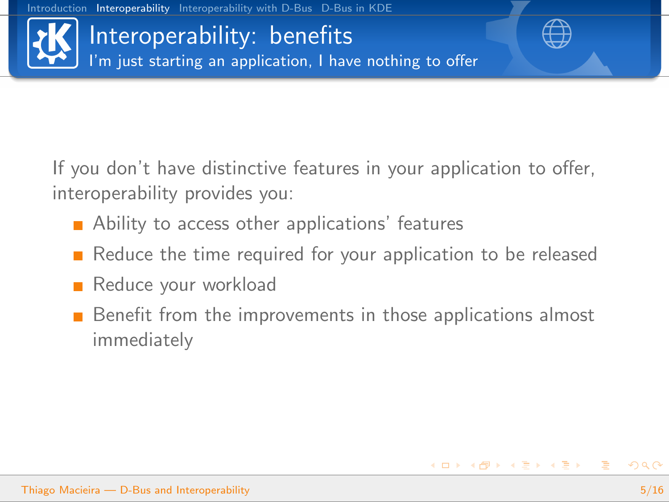Interoperability: benefits I'm just starting an application, I have nothing to offer

If you don't have distinctive features in your application to offer, interoperability provides you:

- **Ability to access other applications' features**
- Reduce the time required for your application to be released
- Reduce your workload
- **Benefit from the improvements in those applications almost** immediately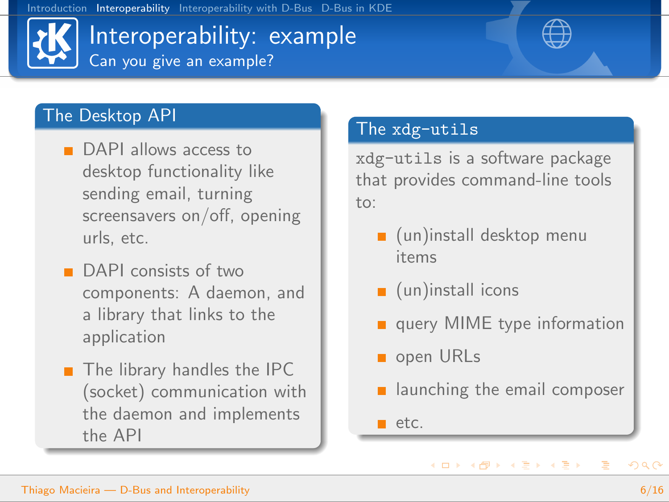## Interoperability: example Can you give an example?



#### The Desktop API

- DAPI allows access to desktop functionality like sending email, turning screensavers on/off, opening urls, etc.
- **DAPI** consists of two components: A daemon, and a library that links to the application
- $\blacksquare$  The library handles the IPC (socket) communication with the daemon and implements the API

#### The xdg-utils

xdg-utils is a software package that provides command-line tools  $\dots$ 

- $\Box$  (un)install desktop menu items
- $\Box$  (un)install icons
- query MIME type information
- open URLs
- **E** launching the email composer

 $\left\{ \begin{array}{ccc} \square & \rightarrow & \left\{ \bigoplus \bullet & \leftarrow \Xi \right. \right\} & \leftarrow \left\{ \Xi \right. \right\} & \end{array} \right.$ 

 $\blacksquare$  etc.

<span id="page-5-0"></span>B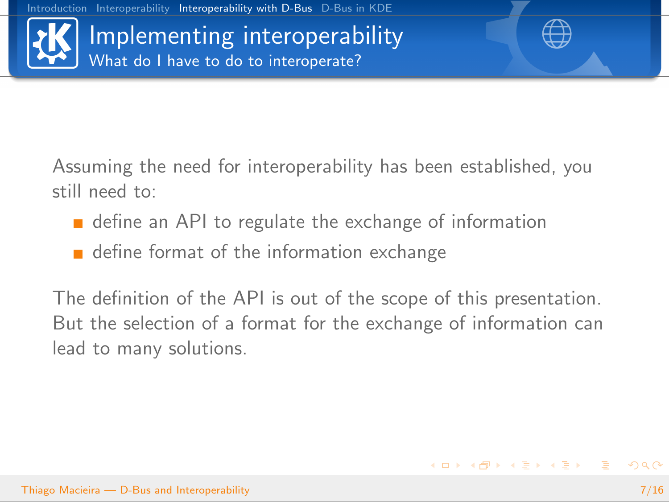Implementing interoperability What do I have to do to interoperate?

<span id="page-6-0"></span>

Assuming the need for interoperability has been established, you still need to:

- **define an API to regulate the exchange of information**
- define format of the information exchange

The definition of the API is out of the scope of this presentation. But the selection of a format for the exchange of information can lead to many solutions.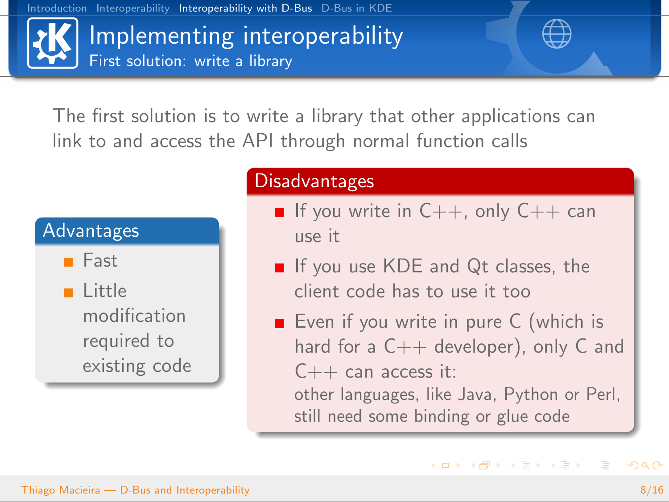[Introduction](#page-1-0) [Interoperability](#page-3-0) [Interoperability with D-Bus](#page-6-0) [D-Bus in KDE](#page-12-0)



The first solution is to write a library that other applications can link to and access the API through normal function calls



#### **Disadvantages**

- If you write in  $C_{++}$ , only  $C_{++}$  can use it
- If you use KDE and Qt classes, the client code has to use it too
- Even if you write in pure  $C$  (which is hard for a  $C++$  developer), only C and  $C++$  can access it: other languages, like Java, Python or Perl,

still need some binding or glue code

 $\left\{ \begin{array}{ccc} \square & \rightarrow & \left\langle \bigoplus \right. \right. & \rightarrow & \left\langle \bigtriangledown \right. & \rightarrow & \left\langle \bigtriangledown \right. & \rightarrow & \left\langle \bigtriangledown \right. \right. \\ \square & \rightarrow & \left\langle \bigodot \right. & \square & \rightarrow & \left\langle \bigtriangleup \right. \end{array} \right.$ 

 $\equiv$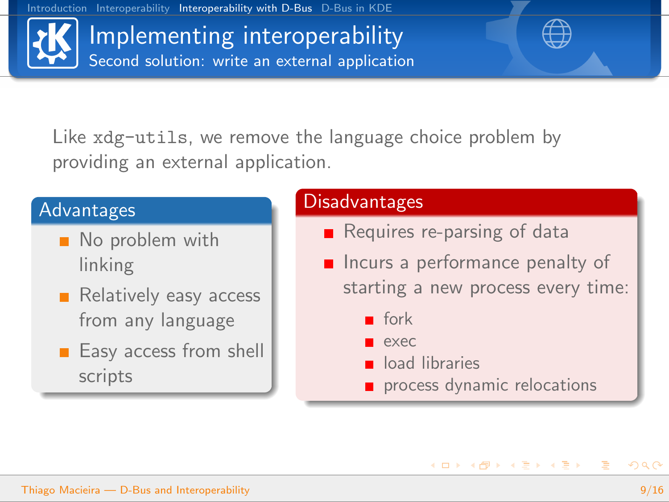Implementing interoperability Second solution: write an external application

Like xdg-utils, we remove the language choice problem by providing an external application.

#### Advantages

- No problem with linking
- Relatively easy access from any language
- $\blacksquare$  Easy access from shell scripts

#### Disadvantages

- Requires re-parsing of data
- $\blacksquare$  Incurs a performance penalty of starting a new process every time:
	- **fork**
	- exec
	- oad libraries
	- process dynamic relocations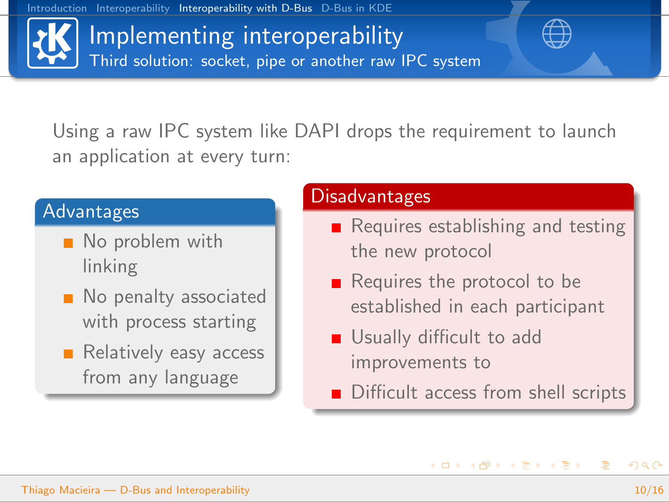[Introduction](#page-1-0) [Interoperability](#page-3-0) [Interoperability with D-Bus](#page-6-0) [D-Bus in KDE](#page-12-0)

Implementing interoperability Third solution: socket, pipe or another raw IPC system

Using a raw IPC system like DAPI drops the requirement to launch an application at every turn:

#### Advantages

- No problem with linking
- No penalty associated with process starting
- Relatively easy access from any language

#### Disadvantages

- Requires establishing and testing the new protocol
- $\blacksquare$  Requires the protocol to be established in each participant
- Usually difficult to add improvements to
- Difficult access from shell scripts

 $\left\{ \begin{array}{ccc} 1 & 0 & 0 \\ 0 & 1 & 0 \end{array} \right.$ 

<span id="page-9-0"></span> $\equiv$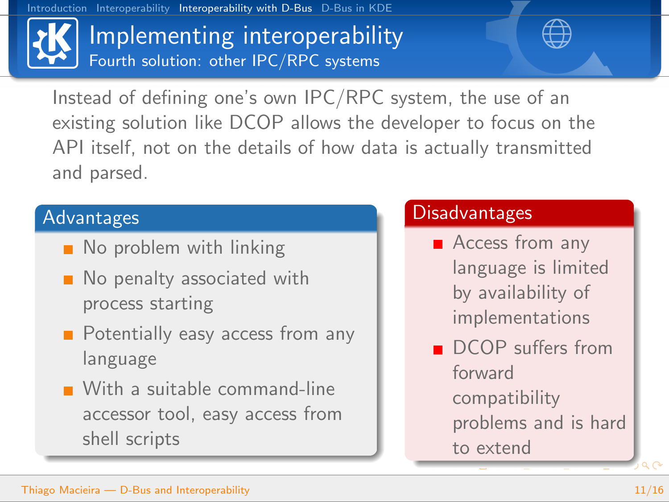

## Implementing interoperability Fourth solution: other IPC/RPC systems



Instead of defining one's own IPC/RPC system, the use of an existing solution like DCOP allows the developer to focus on the API itself, not on the details of how data is actually transmitted and parsed.

### Advantages

- No problem with linking
- No penalty associated with process starting
- **Potentially easy access from any** language
- With a suitable command-line accessor tool, easy access from shell scripts

### Disadvantages

- **Access from any** language is limited by availability of implementations
- <span id="page-10-0"></span>DCOP suffers from forward compatibility problems and is hard [to](#page-11-0) [ex](#page-10-0)[t](#page-11-0)[en](#page-5-0)[d](#page-11-0)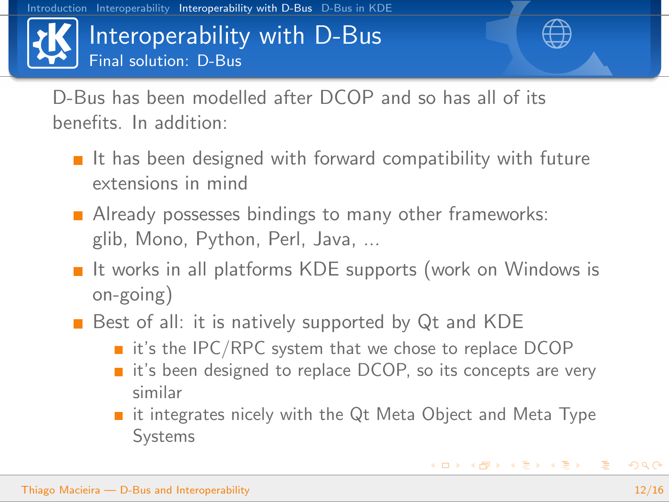## Interoperability with D-Bus Final solution: D-Bus



<span id="page-11-0"></span>

D-Bus has been modelled after DCOP and so has all of its benefits. In addition:

- $\blacksquare$  It has been designed with forward compatibility with future extensions in mind
- **Already possesses bindings to many other frameworks:** glib, Mono, Python, Perl, Java, ...
- $\blacksquare$  It works in all platforms KDE supports (work on Windows is on-going)
- Best of all: it is natively supported by Qt and KDE
	- $\blacksquare$  it's the IPC/RPC system that we chose to replace DCOP
	- it's been designed to replace DCOP, so its concepts are very similar
	- it integrates nicely with the Qt Meta Object and Meta Type Systems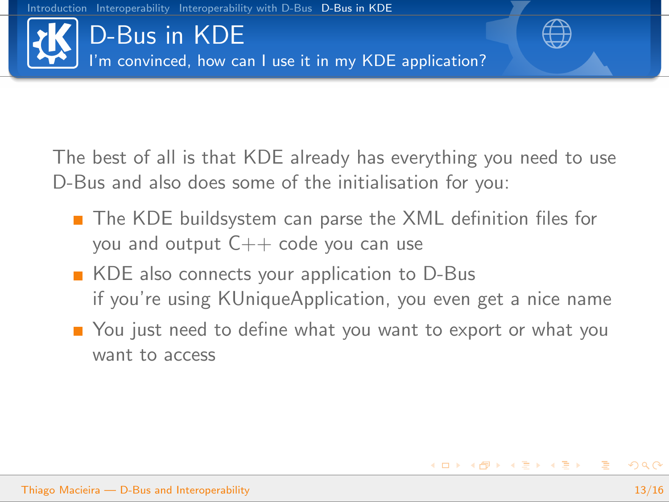

The best of all is that KDE already has everything you need to use D-Bus and also does some of the initialisation for you:

- The KDE buildsystem can parse the XML definition files for you and output  $C++$  code you can use
- KDE also connects your application to D-Bus if you're using KUniqueApplication, you even get a nice name
- <span id="page-12-0"></span>■ You just need to define what you want to export or what you want to access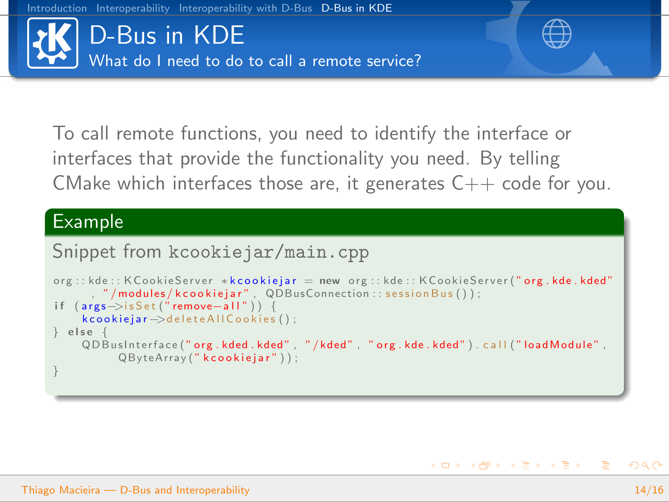

To call remote functions, you need to identify the interface or interfaces that provide the functionality you need. By telling CMake which interfaces those are, it generates  $C_{++}$  code for you.

#### Example

#### Snippet from kcookiejar/main.cpp

```
org::kde::KCookieServer *kcookiejar = new org::kde::KCookieServer' org.kde.kded", "/modules/kcookiejar", QDBusConnection:: sessionBus());
if (\text{args}\rightarrow \text{isSet} ("remove-all")) {
    k cookiejar ->delete All Cookies ();
\} else
    QD BusInterface (" org. kded. kded", "/kded", " org. kde. kded"). call ("load Module",
          QByteArray (" kcookiejar"));
}
```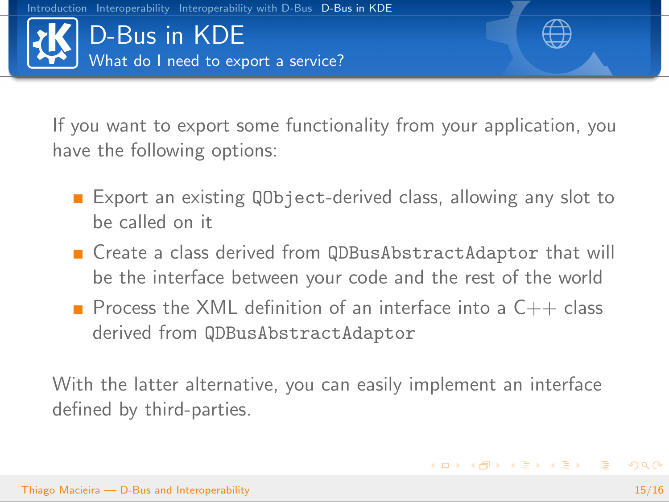

If you want to export some functionality from your application, you have the following options:

- **Export an existing QObject-derived class, allowing any slot to** be called on it
- Create a class derived from QDBusAbstractAdaptor that will be the interface between your code and the rest of the world
- **Process the XML definition of an interface into a**  $C++$  **class** derived from QDBusAbstractAdaptor

With the latter alternative, you can easily implement an interface defined by third-parties.